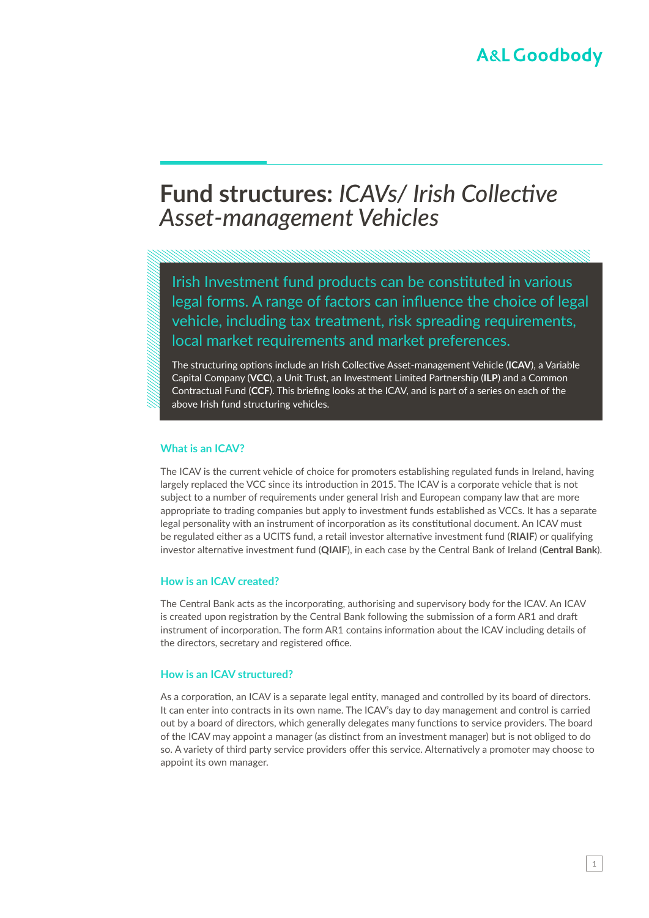# **Fund structures:** *ICAVs/ Irish Collective Asset-management Vehicles*

Irish Investment fund products can be constituted in various legal forms. A range of factors can influence the choice of legal vehicle, including tax treatment, risk spreading requirements, local market requirements and market preferences.

The structuring options include an Irish Collective Asset-management Vehicle (**ICAV**), a Variable Capital Company (**VCC**), a Unit Trust, an Investment Limited Partnership (**ILP**) and a Common Contractual Fund (**CCF**). This briefing looks at the ICAV, and is part of a series on each of the above Irish fund structuring vehicles.

#### **What is an ICAV?**

The ICAV is the current vehicle of choice for promoters establishing regulated funds in Ireland, having largely replaced the VCC since its introduction in 2015. The ICAV is a corporate vehicle that is not subject to a number of requirements under general Irish and European company law that are more appropriate to trading companies but apply to investment funds established as VCCs. It has a separate legal personality with an instrument of incorporation as its constitutional document. An ICAV must be regulated either as a UCITS fund, a retail investor alternative investment fund (**RIAIF**) or qualifying investor alternative investment fund (**QIAIF**), in each case by the Central Bank of Ireland (**Central Bank**).

#### **How is an ICAV created?**

The Central Bank acts as the incorporating, authorising and supervisory body for the ICAV. An ICAV is created upon registration by the Central Bank following the submission of a form AR1 and draft instrument of incorporation. The form AR1 contains information about the ICAV including details of the directors, secretary and registered office.

#### **How is an ICAV structured?**

As a corporation, an ICAV is a separate legal entity, managed and controlled by its board of directors. It can enter into contracts in its own name. The ICAV's day to day management and control is carried out by a board of directors, which generally delegates many functions to service providers. The board of the ICAV may appoint a manager (as distinct from an investment manager) but is not obliged to do so. A variety of third party service providers offer this service. Alternatively a promoter may choose to appoint its own manager.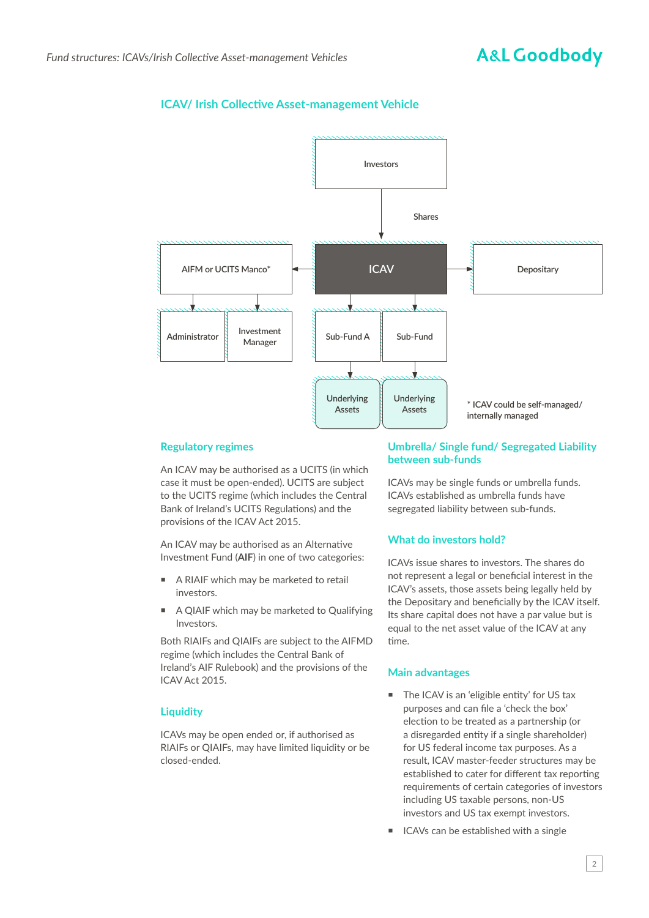# **ICAV/ Irish Collective Asset-management Vehicle**



## **Regulatory regimes**

An ICAV may be authorised as a UCITS (in which case it must be open-ended). UCITS are subject to the UCITS regime (which includes the Central Bank of Ireland's UCITS Regulations) and the provisions of the ICAV Act 2015.

An ICAV may be authorised as an Alternative Investment Fund (**AIF**) in one of two categories:

- A RIAIF which may be marketed to retail investors.
- A QIAIF which may be marketed to Qualifying Investors.

Both RIAIFs and QIAIFs are subject to the AIFMD regime (which includes the Central Bank of Ireland's AIF Rulebook) and the provisions of the ICAV Act 2015.

### **Liquidity**

ICAVs may be open ended or, if authorised as RIAIFs or QIAIFs, may have limited liquidity or be closed-ended.

#### **Umbrella/ Single fund/ Segregated Liability between sub-funds**

ICAVs may be single funds or umbrella funds. ICAVs established as umbrella funds have segregated liability between sub-funds.

### **What do investors hold?**

ICAVs issue shares to investors. The shares do not represent a legal or beneficial interest in the ICAV's assets, those assets being legally held by the Depositary and beneficially by the ICAV itself. Its share capital does not have a par value but is equal to the net asset value of the ICAV at any time.

### **Main advantages**

- The ICAV is an 'eligible entity' for US tax purposes and can file a 'check the box' election to be treated as a partnership (or a disregarded entity if a single shareholder) for US federal income tax purposes. As a result, ICAV master-feeder structures may be established to cater for different tax reporting requirements of certain categories of investors including US taxable persons, non-US investors and US tax exempt investors.
- ICAVs can be established with a single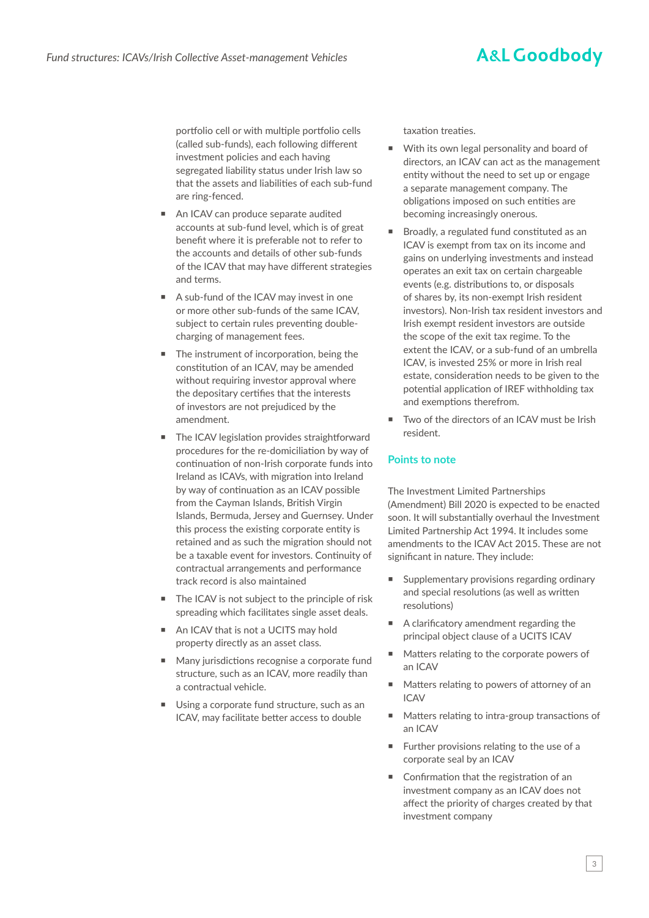# **A&L Goodbody**

portfolio cell or with multiple portfolio cells (called sub-funds), each following different investment policies and each having segregated liability status under Irish law so that the assets and liabilities of each sub-fund are ring-fenced.

- An ICAV can produce separate audited accounts at sub-fund level, which is of great benefit where it is preferable not to refer to the accounts and details of other sub-funds of the ICAV that may have different strategies and terms.
- A sub-fund of the ICAV may invest in one or more other sub-funds of the same ICAV, subject to certain rules preventing doublecharging of management fees.
- The instrument of incorporation, being the constitution of an ICAV, may be amended without requiring investor approval where the depositary certifies that the interests of investors are not prejudiced by the amendment.
- The ICAV legislation provides straightforward procedures for the re-domiciliation by way of continuation of non-Irish corporate funds into Ireland as ICAVs, with migration into Ireland by way of continuation as an ICAV possible from the Cayman Islands, British Virgin Islands, Bermuda, Jersey and Guernsey. Under this process the existing corporate entity is retained and as such the migration should not be a taxable event for investors. Continuity of contractual arrangements and performance track record is also maintained
- The ICAV is not subject to the principle of risk spreading which facilitates single asset deals.
- An ICAV that is not a UCITS may hold property directly as an asset class.
- Many jurisdictions recognise a corporate fund structure, such as an ICAV, more readily than a contractual vehicle.
- Using a corporate fund structure, such as an ICAV, may facilitate better access to double

taxation treaties.

- With its own legal personality and board of directors, an ICAV can act as the management entity without the need to set up or engage a separate management company. The obligations imposed on such entities are becoming increasingly onerous.
- Broadly, a regulated fund constituted as an ICAV is exempt from tax on its income and gains on underlying investments and instead operates an exit tax on certain chargeable events (e.g. distributions to, or disposals of shares by, its non-exempt Irish resident investors). Non-Irish tax resident investors and Irish exempt resident investors are outside the scope of the exit tax regime. To the extent the ICAV, or a sub-fund of an umbrella ICAV, is invested 25% or more in Irish real estate, consideration needs to be given to the potential application of IREF withholding tax and exemptions therefrom.
- Two of the directors of an ICAV must be Irish resident.

## **Points to note**

The Investment Limited Partnerships (Amendment) Bill 2020 is expected to be enacted soon. It will substantially overhaul the Investment Limited Partnership Act 1994. It includes some amendments to the ICAV Act 2015. These are not significant in nature. They include:

- Supplementary provisions regarding ordinary and special resolutions (as well as written resolutions)
- A clarificatory amendment regarding the principal object clause of a UCITS ICAV
- Matters relating to the corporate powers of an ICAV
- Matters relating to powers of attorney of an ICAV
- Matters relating to intra-group transactions of an ICAV
- Further provisions relating to the use of a corporate seal by an ICAV
- Confirmation that the registration of an investment company as an ICAV does not affect the priority of charges created by that investment company